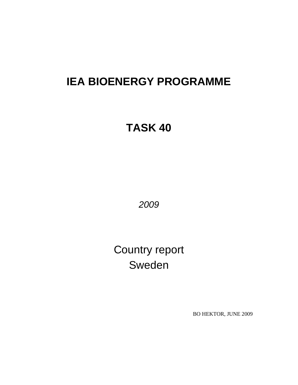# **IEA BIOENERGY PROGRAMME**

# **TASK 40**

*2009* 

Country report Sweden

BO HEKTOR, JUNE 2009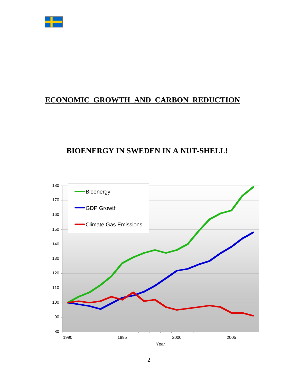

# **ECONOMIC GROWTH AND CARBON REDUCTION**

# **BIOENERGY IN SWEDEN IN A NUT-SHELL!**

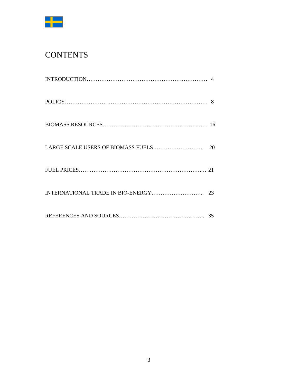

# **CONTENTS**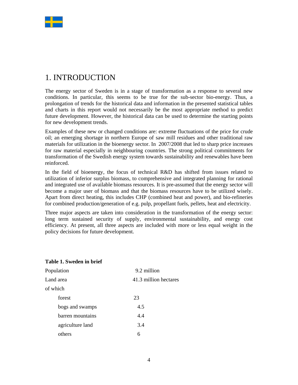

# 1. INTRODUCTION

The energy sector of Sweden is in a stage of transformation as a response to several new conditions. In particular, this seems to be true for the sub-sector bio-energy. Thus, a prolongation of trends for the historical data and information in the presented statistical tables and charts in this report would not necessarily be the most appropriate method to predict future development. However, the historical data can be used to determine the starting points for new development trends.

Examples of these new or changed conditions are: extreme fluctuations of the price for crude oil; an emerging shortage in northern Europe of saw mill residues and other traditional raw materials for utilization in the bioenergy sector. In 2007/2008 that led to sharp price increases for raw material especially in neighbouring countries. The strong political commitments for transformation of the Swedish energy system towards sustainability and renewables have been reinforced.

In the field of bioenergy, the focus of technical R&D has shifted from issues related to utilization of inferior surplus biomass, to comprehensive and integrated planning for rational and integrated use of available biomass resources. It is pre-assumed that the energy sector will become a major user of biomass and that the biomass resources have to be utilized wisely. Apart from direct heating, this includes CHP (combined heat and power), and bio-refineries for combined production/generation of e.g. pulp, propellant fuels, pellets, heat and electricity.

Three major aspects are taken into consideration in the transformation of the energy sector: long term sustained security of supply, environmental sustainability, and energy cost efficiency. At present, all three aspects are included with more or less equal weight in the policy decisions for future development.

### **Table 1. Sweden in brief**

| Population       | 9.2 million           |
|------------------|-----------------------|
| Land area        | 41.3 million hectares |
| of which         |                       |
| forest           | 23                    |
| bogs and swamps  | 4.5                   |
| barren mountains | 4.4                   |
| agriculture land | 3.4                   |
| others           | 6                     |
|                  |                       |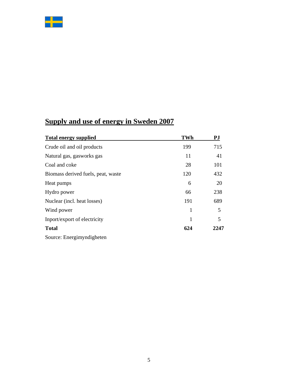

# **Supply and use of energy in Sweden 2007**

| <b>Total energy supplied</b>       | <b>TWh</b> | PJ   |
|------------------------------------|------------|------|
| Crude oil and oil products         | 199        | 715  |
| Natural gas, gasworks gas          | 11         | 41   |
| Coal and coke                      | 28         | 101  |
| Biomass derived fuels, peat, waste | 120        | 432  |
| Heat pumps                         | 6          | 20   |
| Hydro power                        | 66         | 238  |
| Nuclear (incl. heat losses)        | 191        | 689  |
| Wind power                         | 1          | 5    |
| Inport/export of electricity       | 1          | 5    |
| <b>Total</b>                       | 624        | 2247 |
| Source: Energimyndigheten          |            |      |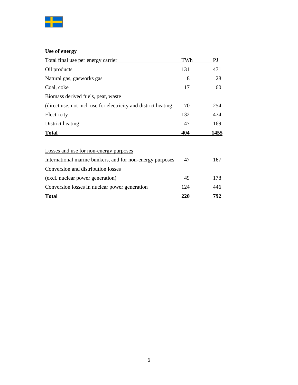

# **Use of energy**

| Total final use per energy carrier                              | TWh | PI   |
|-----------------------------------------------------------------|-----|------|
| Oil products                                                    | 131 | 471  |
| Natural gas, gasworks gas                                       | 8   | 28   |
| Coal, coke                                                      | 17  | 60   |
| Biomass derived fuels, peat, waste                              |     |      |
| (direct use, not incl. use for electricity and district heating | 70  | 254  |
| Electricity                                                     | 132 | 474  |
| District heating                                                | 47  | 169  |
| <b>Total</b>                                                    | 404 | 1455 |
| Losses and use for non-energy purposes                          |     |      |
| International marine bunkers, and for non-energy purposes       | 47  | 167  |
| Conversion and distribution losses                              |     |      |
| (excl. nuclear power generation)                                | 49  | 178  |
| Conversion losses in nuclear power generation                   | 124 | 446  |
| <b>Total</b>                                                    | 220 | 792  |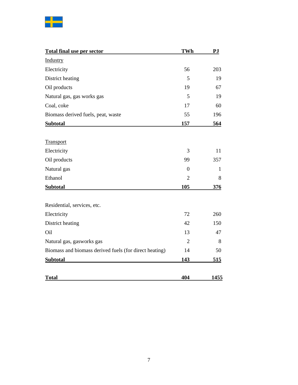

| Total final use per sector                             | <b>TWh</b>     | PJ   |
|--------------------------------------------------------|----------------|------|
| Industry                                               |                |      |
| Electricity                                            | 56             | 203  |
| District heating                                       | 5              | 19   |
| Oil products                                           | 19             | 67   |
| Natural gas, gas works gas                             | 5              | 19   |
| Coal, coke                                             | 17             | 60   |
| Biomass derived fuels, peat, waste                     | 55             | 196  |
| <b>Subtotal</b>                                        | 157            | 564  |
|                                                        |                |      |
| Transport                                              |                |      |
| Electricity                                            | 3              | 11   |
| Oil products                                           | 99             | 357  |
| Natural gas                                            | $\theta$       | 1    |
| Ethanol                                                | $\overline{2}$ | 8    |
| <b>Subtotal</b>                                        | 105            | 376  |
|                                                        |                |      |
| Residential, services, etc.                            |                |      |
| Electricity                                            | 72             | 260  |
| District heating                                       | 42             | 150  |
| Oil                                                    | 13             | 47   |
| Natural gas, gasworks gas                              | $\overline{2}$ | 8    |
| Biomass and biomass derived fuels (for direct heating) | 14             | 50   |
| <b>Subtotal</b>                                        | 143            | 515  |
|                                                        |                |      |
| <b>Total</b>                                           | 404            | 1455 |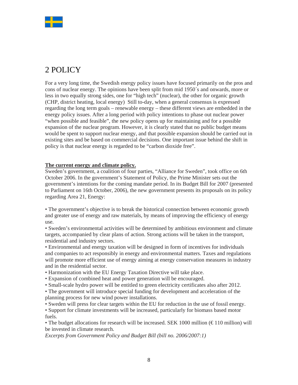

# 2 POLICY

For a very long time, the Swedish energy policy issues have focused primarily on the pros and cons of nuclear energy. The opinions have been split from mid 1950´s and onwards, more or less in two equally strong sides, one for "high tech" (nuclear), the other for organic growth (CHP, district heating, local energy) Still to-day, when a general consensus is expressed regarding the long term goals – renewable energy – these different views are embedded in the energy policy issues. After a long period with policy intentions to phase out nuclear power "when possible and feasible", the new policy opens up for maintaining and for a possible expansion of the nuclear program. However, it is clearly stated that no public budget means would be spent to support nuclear energy, and that possible expansion should be carried out in existing sites and be based on commercial decisions. One important issue behind the shift in policy is that nuclear energy is regarded to be "carbon dioxide free".

# **The current energy and climate policy.**

Sweden's government, a coalition of four parties, "Alliance for Sweden", took office on 6th October 2006. In the government's Statement of Policy, the Prime Minister sets out the government's intentions for the coming mandate period. In its Budget Bill for 2007 (presented to Parliament on 16th October, 2006), the new government presents its proposals on its policy regarding Area 21, Energy:

• The government's objective is to break the historical connection between economic growth and greater use of energy and raw materials, by means of improving the efficiency of energy use.

• Sweden's environmental activities will be determined by ambitious environment and climate targets, accompanied by clear plans of action. Strong actions will be taken in the transport, residential and industry sectors.

• Environmental and energy taxation will be designed in form of incentives for individuals and companies to act responsibly in energy and environmental matters. Taxes and regulations will promote more efficient use of energy aiming at energy conservation measures in industry and in the residential sector.

- Harmonization with the EU Energy Taxation Directive will take place.
- Expansion of combined heat and power generation will be encouraged.
- Small-scale hydro power will be entitled to green electricity certificates also after 2012.

• The government will introduce special funding for development and acceleration of the planning process for new wind power installations.

• Sweden will press for clear targets within the EU for reduction in the use of fossil energy.

• Support for climate investments will be increased, particularly for biomass based motor fuels.

• The budget allocations for research will be increased. SEK 1000 million  $(\text{\textsterling}110$  million) will be invested in climate research.

*Excerpts from Government Policy and Budget Bill (bill no. 2006/2007:1)*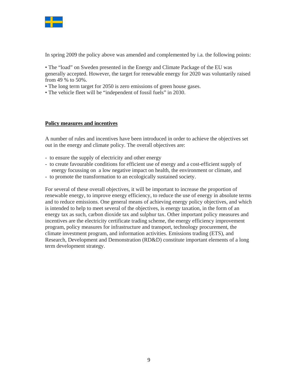

In spring 2009 the policy above was amended and complemented by i.a. the following points:

• The "load" on Sweden presented in the Energy and Climate Package of the EU was generally accepted. However, the target for renewable energy for 2020 was voluntarily raised from 49 % to 50%.

- The long term target for 2050 is zero emissions of green house gases.
- The vehicle fleet will be "independent of fossil fuels" in 2030.

#### **Policy measures and incentives**

A number of rules and incentives have been introduced in order to achieve the objectives set out in the energy and climate policy. The overall objectives are:

- to ensure the supply of electricity and other energy
- to create favourable conditions for efficient use of energy and a cost-efficient supply of energy focussing on a low negative impact on health, the environment or climate, and
- to promote the transformation to an ecologically sustained society.

For several of these overall objectives, it will be important to increase the proportion of renewable energy, to improve energy efficiency, to reduce the use of energy in absolute terms and to reduce emissions. One general means of achieving energy policy objectives, and which is intended to help to meet several of the objectives, is energy taxation, in the form of an energy tax as such, carbon dioxide tax and sulphur tax. Other important policy measures and incentives are the electricity certificate trading scheme, the energy efficiency improvement program, policy measures for infrastructure and transport, technology procurement, the climate investment program, and information activities. Emissions trading (ETS), and Research, Development and Demonstration (RD&D) constitute important elements of a long term development strategy.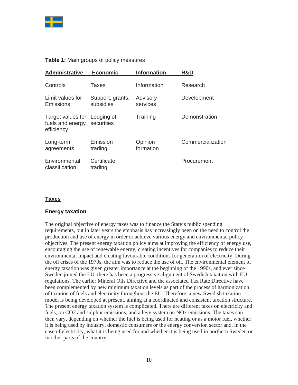

# **Table 1:** Main groups of policy measures

| <b>Administrative</b>                                          | <b>Economic</b>               | <b>Information</b>   | R&D               |
|----------------------------------------------------------------|-------------------------------|----------------------|-------------------|
| Controls                                                       | Taxes                         | Information          | Research          |
| Limit values for<br>Emissions                                  | Support, grants,<br>subsidies | Advisory<br>services | Development       |
| Target values for Lodging of<br>fuels and energy<br>efficiency | securities                    | Training             | Demonstration     |
| Long-term<br>agreements                                        | Emission<br>trading           | Opinion<br>formation | Commercialization |
| Environmental<br>classification                                | Certificate<br>trading        |                      | Procurement       |

# **Taxes**

### **Energy taxation**

The original objective of energy taxes was to finance the State's public spending requirements, but in later years the emphasis has increasingly been on the need to control the production and use of energy in order to achieve various energy and environmental policy objectives. The present energy taxation policy aims at improving the efficiency of energy use, encouraging the use of renewable energy, creating incentives for companies to reduce their environmental impact and creating favourable conditions for generation of electricity. During the oil crises of the 1970s, the aim was to reduce the use of oil. The environmental element of energy taxation was given greater importance at the beginning of the 1990s, and ever since Sweden joined the EU, there has been a progressive alignment of Swedish taxation with EU regulations. The earlier Mineral Oils Directive and the associated Tax Rate Directive have been complemented by new minimum taxation levels as part of the process of harmonization of taxation of fuels and electricity throughout the EU. Therefore, a new Swedish taxation model is being developed at present, aiming at a coordinated and consistent taxation structure. The present energy taxation system is complicated. There are different taxes on electricity and fuels, on CO2 and sulphur emissions, and a levy system on NOx emissions. The taxes can then vary, depending on whether the fuel is being used for heating or as a motor fuel, whether it is being used by industry, domestic consumers or the energy conversion sector and, in the case of electricity, what it is being used for and whether it is being used in northern Sweden or in other parts of the country.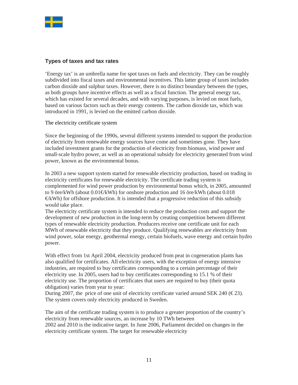

# **Types of taxes and tax rates**

'Energy tax' is an umbrella name for spot taxes on fuels and electricity. They can be roughly subdivided into fiscal taxes and environmental incentives. This latter group of taxes includes carbon dioxide and sulphur taxes. However, there is no distinct boundary between the types, as both groups have incentive effects as well as a fiscal function. The general energy tax, which has existed for several decades, and with varying purposes, is levied on most fuels, based on various factors such as their energy contents. The carbon dioxide tax, which was introduced in 1991, is levied on the emitted carbon dioxide.

The electricity certificate system

Since the beginning of the 1990s, several different systems intended to support the production of electricity from renewable energy sources have come and sometimes gone. They have included investment grants for the production of electricity from biomass, wind power and small-scale hydro power, as well as an operational subsidy for electricity generated from wind power, known as the environmental bonus.

In 2003 a new support system started for renewable electricity production, based on trading in electricity certificates for renewable electricity. The certificate trading system is complemented for wind power production by environmental bonus which, in 2005, amounted to 9 öre/kWh (about  $0.01 \times$ kWh) for onshore production and 16 öre/kWh (about 0.018  $E$ Wh) for offshore production. It is intended that a progressive reduction of this subsidy would take place.

The electricity certificate system is intended to reduce the production costs and support the development of new production in the long-term by creating competition between different types of renewable electricity production. Producers receive one certificate unit for each MWh of renewable electricity that they produce. Qualifying renewables are electricity from wind power, solar energy, geothermal energy, certain biofuels, wave energy and certain hydro power.

With effect from 1st April 2004, electricity produced from peat in cogeneration plants has also qualified for certificates. All electricity users, with the exception of energy intensive industries, are required to buy certificates corresponding to a certain percentage of their electricity use. In 2005, users had to buy certificates corresponding to 15.1 % of their electricity use. The proportion of certificates that users are required to buy (their quota obligation) varies from year to year:

During 2007, the price of one unit of electricity certificate varied around SEK 240 ( $\in$ 23). The system covers only electricity produced in Sweden.

The aim of the certificate trading system is to produce a greater proportion of the country's electricity from renewable sources, an increase by 10 TWh between 2002 and 2010 is the indicative target. In June 2006, Parliament decided on changes in the electricity certificate system. The target for renewable electricity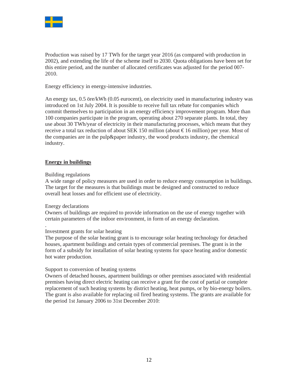

Production was raised by 17 TWh for the target year 2016 (as compared with production in 2002), and extending the life of the scheme itself to 2030. Quota obligations have been set for this entire period, and the number of allocated certificates was adjusted for the period 007- 2010.

Energy efficiency in energy-intensive industries.

An energy tax, 0.5 öre/kWh (0.05 eurocent), on electricity used in manufacturing industry was introduced on 1st July 2004. It is possible to receive full tax rebate for companies which commit themselves to participation in an energy efficiency improvement program. More than 100 companies participate in the program, operating about 270 separate plants. In total, they use about 30 TWh/year of electricity in their manufacturing processes, which means that they receive a total tax reduction of about SEK 150 million (about  $\epsilon$ 16 million) per year. Most of the companies are in the pulp&paper industry, the wood products industry, the chemical industry.

### **Energy in buildings**

#### Building regulations

A wide range of policy measures are used in order to reduce energy consumption in buildings. The target for the measures is that buildings must be designed and constructed to reduce overall heat losses and for efficient use of electricity.

#### Energy declarations

.

Owners of buildings are required to provide information on the use of energy together with certain parameters of the indoor environment, in form of an energy declaration.

### Investment grants for solar heating

The purpose of the solar heating grant is to encourage solar heating technology for detached houses, apartment buildings and certain types of commercial premises. The grant is in the form of a subsidy for installation of solar heating systems for space heating and/or domestic hot water production.

#### Support to conversion of heating systems

Owners of detached houses, apartment buildings or other premises associated with residential premises having direct electric heating can receive a grant for the cost of partial or complete replacement of such heating systems by district heating, heat pumps, or by bio-energy boilers. The grant is also available for replacing oil fired heating systems. The grants are available for the period 1st January 2006 to 31st December 2010: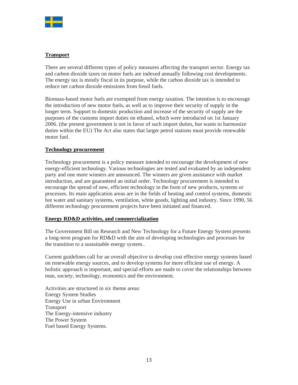

# **Transport**

There are several different types of policy measures affecting the transport sector. Energy tax and carbon dioxide taxes on motor fuels are indexed annually following cost developments. The energy tax is mostly fiscal in its purpose, while the carbon dioxide tax is intended to reduce net carbon dioxide emissions from fossil fuels.

Biomass-based motor fuels are exempted from energy taxation. The intention is to encourage the introduction of new motor fuels, as well as to improve their security of supply in the longer term. Support to domestic production and increase of the security of supply are the purposes of the customs import duties on ethanol, which were introduced on 1st January 2006. (the present government is not in favor of such import duties, but wants to harmonize duties within the EU) The Act also states that larger petrol stations must provide renewable motor fuel.

# **Technology procurement**

Technology procurement is a policy measure intended to encourage the development of new energy-efficient technology. Various technologies are tested and evaluated by an independent party and one more winners are announced. The winners are given assistance with market introduction, and are guaranteed an initial order. Technology procurement is intended to encourage the spread of new, efficient technology in the form of new products, systems or processes. Its main application areas are in the fields of heating and control systems, domestic hot water and sanitary systems, ventilation, white goods, lighting and industry. Since 1990, 56 different technology procurement projects have been initiated and financed.

### **Energy RD&D activities, and commercialization**

The Government Bill on Research and New Technology for a Future Energy System presents a long-term program for RD&D with the aim of developing technologies and processes for the transition to a sustainable energy system..

Current guidelines call for an overall objective to develop cost effective energy systems based on renewable energy sources, and to develop systems for more efficient use of energy. A holistic approach is important, and special efforts are made to cover the relationships between man, society, technology, economics and the environment.

Activities are structured in six theme areas: Energy System Studies Energy Use in urban Environment Transport The Energy-intensive industry The Power System Fuel based Energy Systems.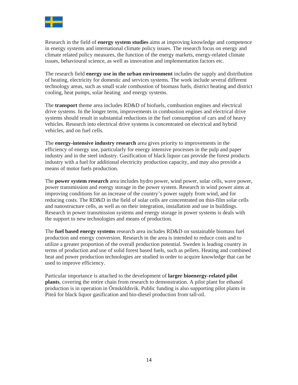

Research in the field of **energy system studies** aims at improving knowledge and competence in energy systems and international climate policy issues. The research focus on energy and climate related policy measures, the function of the energy markets, energy-related climate issues, behavioural science, as well as innovation and implementation factors etc.

The research field **energy use in the urban environment** includes the supply and distribution of heating, electricity for domestic and services systems. The work include several different technology areas, such as small scale combustion of biomass fuels, district heating and district cooling, heat pumps, solar heating and energy systems.

The **transport** theme area includes RD&D of biofuels, combustion engines and electrical drive systems. In the longer term, improvements in combustion engines and electrical drive systems should result in substantial reductions in the fuel consumption of cars and of heavy vehicles. Research into electrical drive systems is concentrated on electrical and hybrid vehicles, and on fuel cells.

The **energy-intensive industry research** area gives priority to improvements in the efficiency of energy use, particularly for energy intensive processes in the pulp and paper industry and in the steel industry. Gasification of black liquor can provide the forest products industry with a fuel for additional electricity production capacity, and may also provide a means of motor fuels production.

The **power system research** area includes hydro power, wind power, solar cells, wave power, power transmission and energy storage in the power system. Research in wind power aims at improving conditions for an increase of the country's power supply from wind, and for reducing costs. The RD&D in the field of solar cells are concentrated on thin-film solar cells and nanostructure cells, as well as on their integration, installation and use in buildings. Research in power transmission systems and energy storage in power systems is deals with the support to new technologies and means of production.

The **fuel based energy systems** research area includes RD&D on sustainable biomass fuel production and energy conversion. Research in the area is intended to reduce costs and to utilize a greater proportion of the overall production potential. Sweden is leading country in terms of production and use of solid forest based fuels, such as pellets. Heating and combined heat and power production technologies are studied in order to acquire knowledge that can be used to improve efficiency.

Particular importance is attached to the development of **larger bioenergy-related pilot plants**, covering the entire chain from research to demonstration. A pilot plant for ethanol production is in operation in Örnsköldsvik. Public funding is also supporting pilot plants in Piteå for black liquor gasification and bio-diesel production from tall-oil.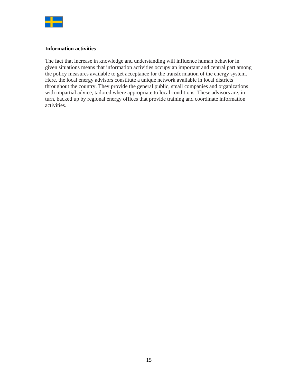

### **Information activities**

The fact that increase in knowledge and understanding will influence human behavior in given situations means that information activities occupy an important and central part among the policy measures available to get acceptance for the transformation of the energy system. Here, the local energy advisors constitute a unique network available in local districts throughout the country. They provide the general public, small companies and organizations with impartial advice, tailored where appropriate to local conditions. These advisors are, in turn, backed up by regional energy offices that provide training and coordinate information activities.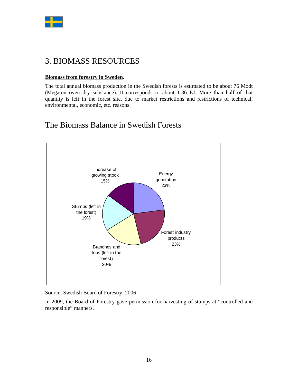

# 3. BIOMASS RESOURCES

# **Biomass from forestry in Sweden.**

The total annual biomass production in the Swedish forests is estimated to be about 76 Modt (Megaton oven dry substance). It corresponds to about 1.36 EJ. More than half of that quantity is left in the forest site, due to market restrictions and restrictions of technical, environmental, economic, etc. reasons.

# The Biomass Balance in Swedish Forests



Source: Swedish Board of Forestry, 2006

In 2009, the Board of Forestry gave permission for harvesting of stumps at "controlled and responsible" manners.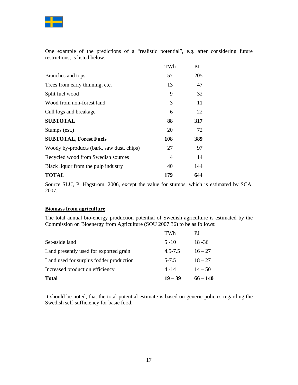

One example of the predictions of a "realistic potential", e.g. after considering future restrictions, is listed below.

|                                           | TWh            | PJ  |
|-------------------------------------------|----------------|-----|
| Branches and tops                         | 57             | 205 |
| Trees from early thinning, etc.           | 13             | 47  |
| Split fuel wood                           | 9              | 32  |
| Wood from non-forest land                 | 3              | 11  |
| Cull logs and breakage                    | 6              | 22  |
| <b>SUBTOTAL</b>                           | 88             | 317 |
| Stumps (est.)                             | 20             | 72  |
| <b>SUBTOTAL, Forest Fuels</b>             | 108            | 389 |
| Woody by-products (bark, saw dust, chips) | 27             | 97  |
| Recycled wood from Swedish sources        | $\overline{4}$ | 14  |
| Black liquor from the pulp industry       | 40             | 144 |
| <b>TOTAL</b>                              | 179            | 644 |

Source SLU, P. Hagström. 2006, except the value for stumps, which is estimated by SCA. 2007.

# **Biomass from agriculture**

The total annual bio-energy production potential of Swedish agriculture is estimated by the Commission on Bioenergy from Agriculture (SOU 2007:36) to be as follows:

| <b>Total</b>                            | $19 - 39$   | $66 - 140$ |
|-----------------------------------------|-------------|------------|
| Increased production efficiency         | $4 - 14$    | $14 - 50$  |
| Land used for surplus fodder production | $5 - 7.5$   | $18 - 27$  |
| Land presently used for exported grain  | $4.5 - 7.5$ | $16 - 27$  |
| Set-aside land                          | $5 - 10$    | $18 - 36$  |
|                                         | TWh         | РJ         |

It should be noted, that the total potential estimate is based on generic policies regarding the Swedish self-sufficiency for basic food.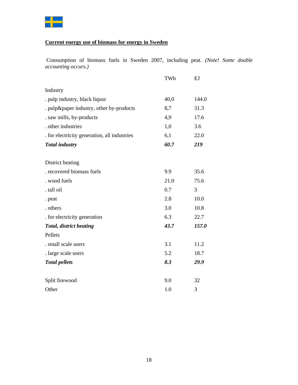

# **Current energy use of biomass for energy in Sweden**

Consumption of biomass fuels in Sweden 2007, including peat. *(Note! Some double accounting occurs.)*

|                                              | TWh  | EJ    |
|----------------------------------------------|------|-------|
| Industry                                     |      |       |
| . pulp industry, black liquor                | 40,0 | 144.0 |
| . pulp&paper industry, other by-products     | 8,7  | 31.3  |
| . saw mills, by-products                     | 4,9  | 17.6  |
| . other industries                           | 1,0  | 3.6   |
| . for electricity generation, all industries | 6,1  | 22.0  |
| <b>Total industry</b>                        | 60.7 | 219   |
| District heating                             |      |       |
| . recovered biomass fuels                    | 9.9  | 35.6  |
| . wood fuels                                 | 21.0 | 75.6  |
| . tall oil                                   | 0.7  | 3     |
| . peat                                       | 2.8  | 10.0  |
| . others                                     | 3.0  | 10.8  |
| . for electricity generation                 | 6.3  | 22.7  |
| <b>Total, district heating</b>               | 43.7 | 157.0 |
| Pellets                                      |      |       |
| . small scale users                          | 3.1  | 11.2  |
| . large scale users                          | 5.2  | 18.7  |
| <b>Total pellets</b>                         | 8.3  | 29.9  |
| Split firewood                               | 9.0  | 32    |
| Other                                        | 1.0  | 3     |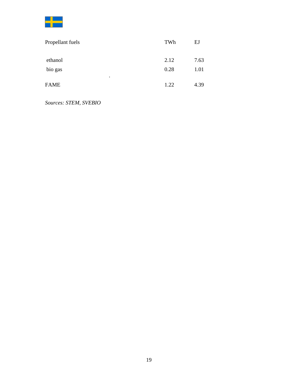| Propellant fuels         | TWh  | EJ   |
|--------------------------|------|------|
| ethanol                  | 2.12 | 7.63 |
| bio gas                  | 0.28 | 1.01 |
| $\bullet$<br><b>FAME</b> | 1.22 | 4.39 |

*Sources: STEM, SVEBIO*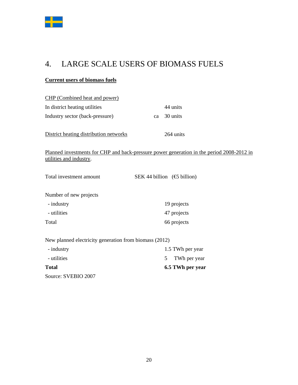

# 4. LARGE SCALE USERS OF BIOMASS FUELS

# **Current users of biomass fuels**

| <b>CHP</b> (Combined heat and power)                   |    |                                                                                           |
|--------------------------------------------------------|----|-------------------------------------------------------------------------------------------|
| In district heating utilities                          |    | 44 units                                                                                  |
| Industry sector (back-pressure)                        | ca | 30 units                                                                                  |
| District heating distribution networks                 |    | 264 units                                                                                 |
| utilities and industry.                                |    | Planned investments for CHP and back-pressure power generation in the period 2008-2012 in |
| Total investment amount                                |    | SEK 44 billion $(\mathfrak{S}$ billion)                                                   |
| Number of new projects                                 |    |                                                                                           |
| - industry                                             |    | 19 projects                                                                               |
| - utilities                                            |    | 47 projects                                                                               |
| Total                                                  |    | 66 projects                                                                               |
| New planned electricity generation from biomass (2012) |    |                                                                                           |
| - industry                                             |    | 1.5 TWh per year                                                                          |
| - utilities                                            |    | 5<br>TWh per year                                                                         |
| <b>Total</b>                                           |    | 6.5 TWh per year                                                                          |
| Source: SVEBIO 2007                                    |    |                                                                                           |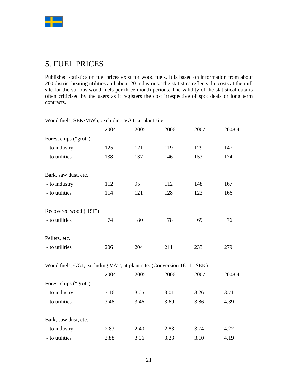

# 5. FUEL PRICES

Published statistics on fuel prices exist for wood fuels. It is based on information from about 200 district heating utilities and about 20 industries. The statistics reflects the costs at the mill site for the various wood fuels per three month periods. The validity of the statistical data is often criticised by the users as it registers the cost irrespective of spot deals or long term contracts.

|                                                                                             | 2004 | 2005 | 2006 | 2007 | 2008:4 |
|---------------------------------------------------------------------------------------------|------|------|------|------|--------|
| Forest chips ("grot")                                                                       |      |      |      |      |        |
| - to industry                                                                               | 125  | 121  | 119  | 129  | 147    |
| - to utilities                                                                              | 138  | 137  | 146  | 153  | 174    |
| Bark, saw dust, etc.                                                                        |      |      |      |      |        |
| - to industry                                                                               | 112  | 95   | 112  | 148  | 167    |
| - to utilities                                                                              | 114  | 121  | 128  | 123  | 166    |
| Recovered wood ("RT")                                                                       |      |      |      |      |        |
| - to utilities                                                                              | 74   | 80   | 78   | 69   | 76     |
| Pellets, etc.                                                                               |      |      |      |      |        |
| - to utilities                                                                              | 206  | 204  | 211  | 233  | 279    |
| Wood fuels, $\epsilon GJ$ , excluding VAT, at plant site. (Conversion 1 $\epsilon$ =11 SEK) |      |      |      |      |        |
|                                                                                             | 2004 | 2005 | 2006 | 2007 | 2008:4 |
| Forest chips ("grot")                                                                       |      |      |      |      |        |
| - to industry                                                                               | 3.16 | 3.05 | 3.01 | 3.26 | 3.71   |
| - to utilities                                                                              | 3.48 | 3.46 | 3.69 | 3.86 | 4.39   |
| Bark, saw dust, etc.                                                                        |      |      |      |      |        |
| - to industry                                                                               | 2.83 | 2.40 | 2.83 | 3.74 | 4.22   |
| - to utilities                                                                              | 2.88 | 3.06 | 3.23 | 3.10 | 4.19   |

Wood fuels, SEK/MWh, excluding VAT, at plant site.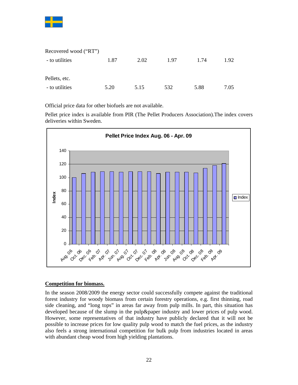

| Recovered wood ("RT") |      |      |      |      |      |
|-----------------------|------|------|------|------|------|
| - to utilities        | 1.87 | 2.02 | 1.97 | 1.74 | 1.92 |
|                       |      |      |      |      |      |
| Pellets, etc.         |      |      |      |      |      |
| - to utilities        | 5.20 | 5.15 | 532  | 5.88 | 7.05 |

Official price data for other biofuels are not available.

Pellet price index is available from PIR (The Pellet Producers Association).The index covers deliveries within Sweden.



### **Competition for biomass.**

In the season 2008/2009 the energy sector could successfully compete against the traditional forest industry for woody biomass from certain forestry operations, e.g. first thinning, road side cleaning, and "long tops" in areas far away from pulp mills. In part, this situation has developed because of the slump in the pulp&paper industry and lower prices of pulp wood. However, some representatives of that industry have publicly declared that it will not be possible to increase prices for low quality pulp wood to match the fuel prices, as the industry also feels a strong international competition for bulk pulp from industries located in areas with abundant cheap wood from high yielding plantations.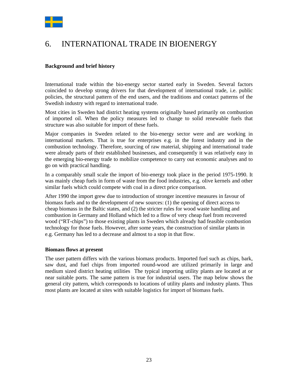

# 6. INTERNATIONAL TRADE IN BIOENERGY

# **Background and brief history**

International trade within the bio-energy sector started early in Sweden. Several factors coincided to develop strong drivers for that development of international trade, i.e. public policies, the structural pattern of the end users, and the traditions and contact patterns of the Swedish industry with regard to international trade.

Most cities in Sweden had district heating systems originally based primarily on combustion of imported oil. When the policy measures led to change to solid renewable fuels that structure was also suitable for import of these fuels.

Major companies in Sweden related to the bio-energy sector were and are working in international markets. That is true for enterprises e.g. in the forest industry and in the combustion technology. Therefore, sourcing of raw material, shipping and international trade were already parts of their established businesses, and consequently it was relatively easy in the emerging bio-energy trade to mobilize competence to carry out economic analyses and to go on with practical handling.

In a comparably small scale the import of bio-energy took place in the period 1975-1990. It was mainly cheap fuels in form of waste from the food industries, e.g. olive kernels and other similar fuels which could compete with coal in a direct price comparison.

After 1990 the import grew due to introduction of stronger incentive measures in favour of biomass fuels and to the development of new sources: (1) the opening of direct access to cheap biomass in the Baltic states, and (2) the stricter rules for wood waste handling and combustion in Germany and Holland which led to a flow of very cheap fuel from recovered wood ("RT-chips") to those existing plants in Sweden which already had feasible combustion technology for those fuels. However, after some years, the construction of similar plants in e.g. Germany has led to a decrease and almost to a stop in that flow.

### **Biomass flows at present**

The user pattern differs with the various biomass products. Imported fuel such as chips, bark, saw dust, and fuel chips from imported round-wood are utilized primarily in large and medium sized district heating utilities The typical importing utility plants are located at or near suitable ports. The same pattern is true for industrial users. The map below shows the general city pattern, which corresponds to locations of utility plants and industry plants. Thus most plants are located at sites with suitable logistics for import of biomass fuels.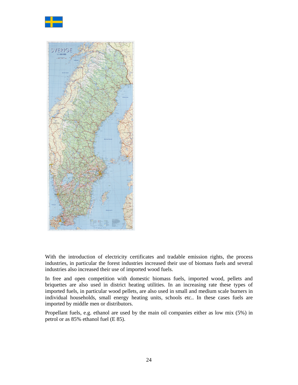



With the introduction of electricity certificates and tradable emission rights, the process industries, in particular the forest industries increased their use of biomass fuels and several industries also increased their use of imported wood fuels.

In free and open competition with domestic biomass fuels, imported wood, pellets and briquettes are also used in district heating utilities. In an increasing rate these types of imported fuels, in particular wood pellets, are also used in small and medium scale burners in individual households, small energy heating units, schools etc.. In these cases fuels are imported by middle men or distributors.

Propellant fuels, e.g. ethanol are used by the main oil companies either as low mix (5%) in petrol or as 85% ethanol fuel (E 85).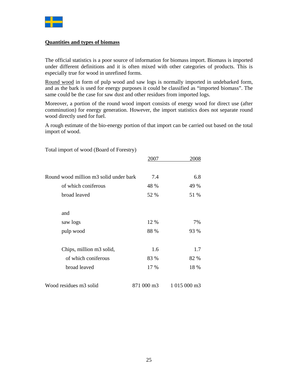

# **Quantities and types of biomass**

The official statistics is a poor source of information for biomass import. Biomass is imported under different definitions and it is often mixed with other categories of products. This is especially true for wood in unrefined forms.

Round wood in form of pulp wood and saw logs is normally imported in undebarked form, and as the bark is used for energy purposes it could be classified as "imported biomass". The same could be the case for saw dust and other residues from imported logs.

Moreover, a portion of the round wood import consists of energy wood for direct use (after comminution) for energy generation. However, the import statistics does not separate round wood directly used for fuel.

A rough estimate of the bio-energy portion of that import can be carried out based on the total import of wood.

|                                        | 2007       | 2008         |
|----------------------------------------|------------|--------------|
|                                        |            |              |
| Round wood million m3 solid under bark | 7.4        | 6.8          |
| of which coniferous                    | 48 %       | 49 %         |
| broad leaved                           | 52 %       | 51 %         |
|                                        |            |              |
| and                                    |            |              |
| saw logs                               | 12 %       | 7%           |
| pulp wood                              | 88 %       | 93 %         |
|                                        |            |              |
| Chips, million m3 solid,               | 1.6        | 1.7          |
| of which coniferous                    | 83 %       | 82 %         |
| broad leaved                           | 17 %       | 18 %         |
|                                        |            |              |
| Wood residues m3 solid                 | 871 000 m3 | 1 015 000 m3 |

Total import of wood (Board of Forestry)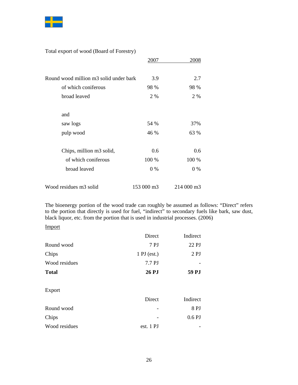

Total export of wood (Board of Forestry)

|                                        | 2007       | 2008       |
|----------------------------------------|------------|------------|
|                                        |            |            |
| Round wood million m3 solid under bark | 3.9        | 2.7        |
| of which coniferous                    | 98 %       | 98 %       |
| broad leaved                           | 2 %        | 2 %        |
|                                        |            |            |
| and                                    |            |            |
| saw logs                               | 54 %       | 37%        |
| pulp wood                              | 46 %       | 63 %       |
|                                        |            |            |
| Chips, million m3 solid,               | 0.6        | 0.6        |
| of which coniferous                    | 100 %      | 100 %      |
| broad leaved                           | $0\%$      | 0 %        |
|                                        |            |            |
| Wood residues m3 solid                 | 153 000 m3 | 214 000 m3 |

The bioenergy portion of the wood trade can roughly be assumed as follows: "Direct" refers to the portion that directly is used for fuel, "indirect" to secondary fuels like bark, saw dust, black liquor, etc. from the portion that is used in industrial processes. (2006)

#### Import

|               | Direct                 | Indirect |
|---------------|------------------------|----------|
| Round wood    | 7PJ                    | 22 PJ    |
| Chips         | $1 \mathrm{P}J$ (est.) | 2PJ      |
| Wood residues | 7.7 PJ                 |          |
| <b>Total</b>  | <b>26 PJ</b>           | 59 PJ    |
| Export        |                        |          |
|               | Direct                 | Indirect |
| Round wood    |                        | 8PJ      |
| Chips         |                        | 0.6PJ    |
| Wood residues | est. 1 PJ              |          |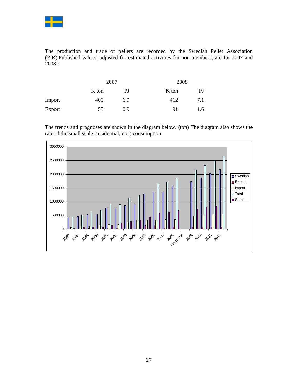

The production and trade of pellets are recorded by the Swedish Pellet Association (PIR).Published values, adjusted for estimated activities for non-members, are for 2007 and 2008 :

|        |       | 2007 |       | 2008 |  |
|--------|-------|------|-------|------|--|
|        | K ton | PJ   | K ton | PJ   |  |
| Import | 400   | 6.9  | 412   | 7.1  |  |
| Export | 55    | 0.9  | 91    | 1.6  |  |

The trends and prognoses are shown in the diagram below. (ton) The diagram also shows the rate of the small scale (residential, etc.) consumption.

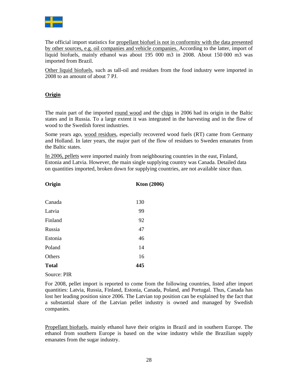

The official import statistics for propellant biofuel is not in conformity with the data presented by other sources, e.g. oil companies and vehicle companies. According to the latter, import of liquid biofuels, mainly ethanol was about 195 000 m3 in 2008. About 150 000 m3 was imported from Brazil.

Other liquid biofuels, such as tall-oil and residues from the food industry were imported in 2008 to an amount of about 7 PJ.

# **Origin**

The main part of the imported round wood and the chips in 2006 had its origin in the Baltic states and in Russia. To a large extent it was integrated in the harvesting and in the flow of wood to the Swedish forest industries.

Some years ago, wood residues, especially recovered wood fuels (RT) came from Germany and Holland. In later years, the major part of the flow of residues to Sweden emanates from the Baltic states.

In 2006, pellets were imported mainly from neighbouring countries in the east, Finland, Estonia and Latvia. However, the main single supplying country was Canada. Detailed data on quantities imported, broken down for supplying countries, are not available since than.

| Origin       | Kton $(2006)$ |
|--------------|---------------|
|              |               |
| Canada       | 130           |
| Latvia       | 99            |
| Finland      | 92            |
| Russia       | 47            |
| Estonia      | 46            |
| Poland       | 14            |
| Others       | 16            |
| <b>Total</b> | 445           |
| Source: PIR  |               |

For 2008, pellet import is reported to come from the following countries, listed after import quantities: Latvia, Russia, Finland, Estonia, Canada, Poland, and Portugal. Thus, Canada has lost her leading position since 2006. The Latvian top position can be explained by the fact that a substantial share of the Latvian pellet industry is owned and managed by Swedish companies.

Propellant biofuels, mainly ethanol have their origins in Brazil and in southern Europe. The ethanol from southern Europe is based on the wine industry while the Brazilian supply emanates from the sugar industry.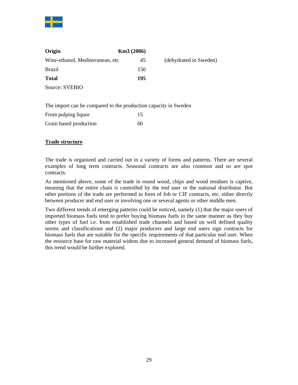

| Origin                            | Km3(2006) |                        |
|-----------------------------------|-----------|------------------------|
| Wine-ethanol, Mediterranean, etc. | 45        | (dehydrated in Sweden) |
| <b>Brazil</b>                     | 150       |                        |
| <b>Total</b>                      | 195       |                        |
| Source: SVEBIO                    |           |                        |

The import can be compared to the production capacity in Sweden

| From pulping liquor    | 15 |
|------------------------|----|
| Grain based production | 60 |

# **Trade structure**

The trade is organized and carried out in a variety of forms and patterns. There are several examples of long term contracts. Seasonal contracts are also common and so are spot contracts.

As mentioned above, some of the trade in round wood, chips and wood residues is captive, meaning that the entire chain is controlled by the end user or the national distributor. But other portions of the trade are performed in form of fob or CIF contracts, etc. either directly between producer and end user or involving one or several agents or other middle men.

Two different trends of emerging patterns could be noticed, namely (1) that the major users of imported biomass fuels tend to prefer buying biomass fuels in the same manner as they buy other types of fuel i.e. from established trade channels and based on well defined quality norms and classifications and (2) major producers and large end users sign contracts for biomass fuels that are suitable for the specific requirements of that particular end user. When the resource base for raw material widens due to increased general demand of biomass fuels, this trend would be further explored.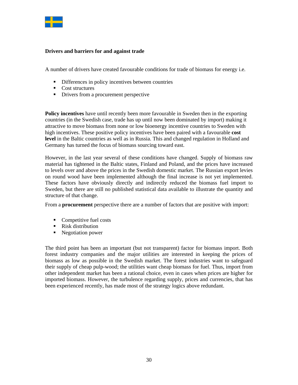

### **Drivers and barriers for and against trade**

A number of drivers have created favourable conditions for trade of biomass for energy i.e.

- Differences in policy incentives between countries
- Cost structures
- Drivers from a procurement perspective

**Policy incentives** have until recently been more favourable in Sweden then in the exporting countries (in the Swedish case, trade has up until now been dominated by import) making it attractive to move biomass from none or low bioenergy incentive countries to Sweden with high incentives. These positive policy incentives have been paired with a favourable **cost level** in the Baltic countries as well as in Russia. This and changed regulation in Holland and Germany has turned the focus of biomass sourcing toward east.

However, in the last year several of these conditions have changed. Supply of biomass raw material has tightened in the Baltic states, Finland and Poland, and the prices have increased to levels over and above the prices in the Swedish domestic market. The Russian export levies on round wood have been implemented although the final increase is not yet implemented. These factors have obviously directly and indirectly reduced the biomass fuel import to Sweden, but there are still no published statistical data available to illustrate the quantity and structure of that change.

From a **procurement** perspective there are a number of factors that are positive with import:

- Competitive fuel costs
- Risk distribution
- Negotiation power

The third point has been an important (but not transparent) factor for biomass import. Both forest industry companies and the major utilities are interested in keeping the prices of biomass as low as possible in the Swedish market. The forest industries want to safeguard their supply of cheap pulp-wood; the utilities want cheap biomass for fuel. Thus, import from other independent market has been a rational choice, even in cases when prices are higher for imported biomass. However, the turbulence regarding supply, prices and currencies, that has been experienced recently, has made most of the strategy logics above redundant.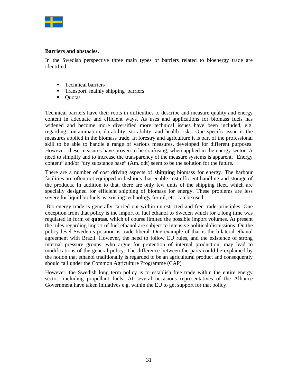

### **Barriers and obstacles.**

In the Swedish perspective three main types of barriers related to bioenergy trade are identified

- **Technical barriers**
- **Transport, mainly shipping barriers**
- Ouotas

Technical barriers have their roots in difficulties to describe and measure quality and energy content in adequate and efficient ways. As uses and applications for biomass fuels has widened and become more diversified more technical issues have been included, e.g. regarding contamination, durability, storability, and health risks. One specific issue is the measures applied in the biomass trade. In forestry and agriculture it is part of the professional skill to be able to handle a range of various measures, developed for different purposes. However, these measures have proven to be confusing, when applied in the energy sector. A need to simplify and to increase the transparency of the measure systems is apparent. "Energy content" and/or "dry substance base" (Am. odt) seem to be the solution for the future.

There are a number of cost driving aspects of **shipping** biomass for energy. The harbour facilities are often not equipped in fashions that enable cost efficient handling and storage of the products. In addition to that, there are only few units of the shipping fleet, which are specially designed for efficient shipping of biomass for energy. These problems are less severe for liquid biofuels as existing technology for oil, etc. can be used.

 Bio-energy trade is generally carried out within unrestricted and free trade principles. One exception from that policy is the import of fuel ethanol to Sweden which for a long time was regulated in form of **quotas**. which of course limited the possible import volumes. At present the rules regarding import of fuel ethanol are subject to intensive political discussions. On the policy level Sweden's position is trade liberal. One example of that is the bilateral ethanol agreement with Brazil. However, the need to follow EU rules, and the existence of strong internal pressure groups, who argue for protection of internal production, may lead to modifications of the general policy. The difference between the parts could be explained by the notion that ethanol traditionally is regarded to be an agricultural product and consequently should fall under the Common Agriculture Programme (CAP)

However, the Swedish long term policy is to establish free trade within the entire energy sector, including propellant fuels. At several occasions representatives of the Alliance Government have taken initiatives e.g. within the EU to get support for that policy.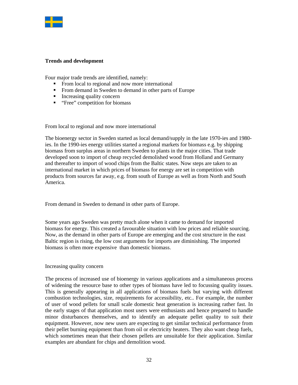

### **Trends and development**

Four major trade trends are identified, namely:

- From local to regional and now more international
- From demand in Sweden to demand in other parts of Europe
- Increasing quality concern
- " "Free" competition for biomass

From local to regional and now more international

The bioenergy sector in Sweden started as local demand/supply in the late 1970-ies and 1980 ies. In the 1990-ies energy utilities started a regional markets for biomass e.g. by shipping biomass from surplus areas in northern Sweden to plants in the major cities. That trade developed soon to import of cheap recycled demolished wood from Holland and Germany and thereafter to import of wood chips from the Baltic states. Now steps are taken to an international market in which prices of biomass for energy are set in competition with products from sources far away, e.g. from south of Europe as well as from North and South America.

From demand in Sweden to demand in other parts of Europe.

Some years ago Sweden was pretty much alone when it came to demand for imported biomass for energy. This created a favourable situation with low prices and reliable sourcing. Now, as the demand in other parts of Europe are emerging and the cost structure in the east Baltic region is rising, the low cost arguments for imports are diminishing. The imported biomass is often more expensive than domestic biomass.

### Increasing quality concern

The process of increased use of bioenergy in various applications and a simultaneous process of widening the resource base to other types of biomass have led to focussing quality issues. This is generally appearing in all applications of biomass fuels but varying with different combustion technologies, size, requirements for accessibility, etc.. For example, the number of user of wood pellets for small scale domestic heat generation is increasing rather fast. In the early stages of that application most users were enthusiasts and hence prepared to handle minor disturbances themselves, and to identify an adequate pellet quality to suit their equipment. However, now new users are expecting to get similar technical performance from their pellet burning equipment than from oil or electricity heaters. They also want cheap fuels, which sometimes mean that their chosen pellets are unsuitable for their application. Similar examples are abundant for chips and demolition wood.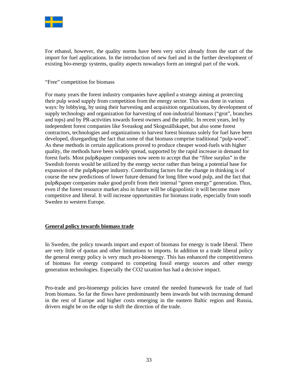

For ethanol, however, the quality norms have been very strict already from the start of the import for fuel applications. In the introduction of new fuel and in the further development of existing bio-energy systems, quality aspects nowadays form an integral part of the work.

#### "Free" competition for biomass

For many years the forest industry companies have applied a strategy aiming at protecting their pulp wood supply from competition from the energy sector. This was done in various ways: by lobbying, by using their harvesting and acquisition organizations, by development of supply technology and organization for harvesting of non-industrial biomass ("grot", branches and tops) and by PR-activities towards forest owners and the public. In recent years, led by independent forest companies like Sveaskog and Skogssällskapet, but also some forest contractors, technologies and organizations to harvest forest biomass solely for fuel have been developed, disregarding the fact that some of that biomass comprise traditional "pulp-wood". As these methods in certain applications proved to produce cheaper wood-fuels with higher quality, the methods have been widely spread, supported by the rapid increase in demand for forest fuels. Most pulp&paper companies now seem to accept that the "fibre surplus" in the Swedish forests would be utilized by the energy sector rather than being a potential base for expansion of the pulp&paper industry. Contributing factors for the change in thinking is of course the new predictions of lower future demand for long fibre wood pulp, and the fact that pulp&paper companies make good profit from their internal "green energy" generation. Thus, even if the forest resource market also in future will be oligopolistic it will become more competitive and liberal. It will increase opportunities for biomass trade, especially from south Sweden to western Europe.

### **General policy towards biomass trade**

In Sweden, the policy towards import and export of biomass for energy is trade liberal. There are very little of quotas and other limitations to imports. In addition to a trade liberal policy the general energy policy is very much pro-bioenergy. This has enhanced the competitiveness of biomass for energy compared to competing fossil energy sources and other energy generation technologies. Especially the CO2 taxation has had a decisive impact.

Pro-trade and pro-bioenergy policies have created the needed framework for trade of fuel from biomass. So far the flows have predominantly been inwards but with increasing demand in the rest of Europe and higher costs emerging in the eastern Baltic region and Russia, drivers might be on the edge to shift the direction of the trade.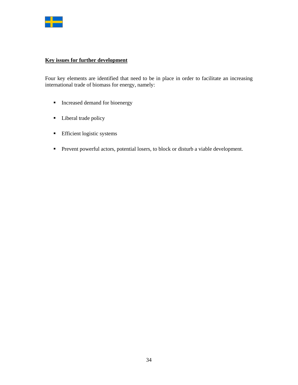

# **Key issues for further development**

Four key elements are identified that need to be in place in order to facilitate an increasing international trade of biomass for energy, namely:

- **Increased demand for bioenergy**
- **Liberal trade policy**
- **Efficient logistic systems**
- Prevent powerful actors, potential losers, to block or disturb a viable development.